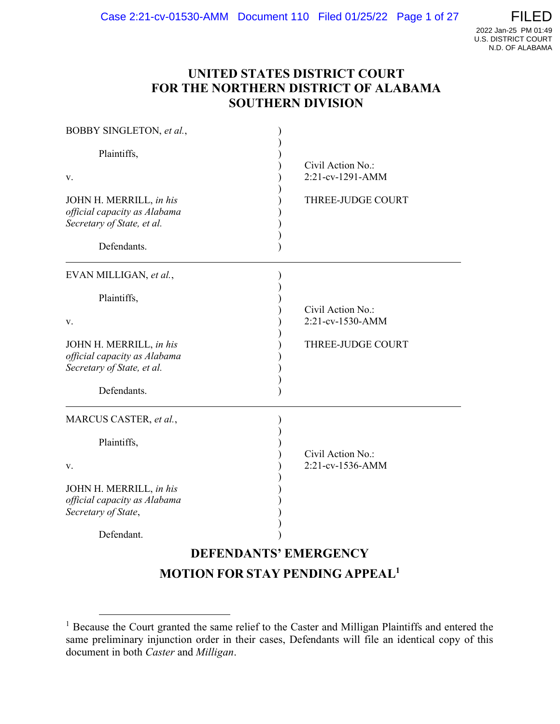# UNITED STATES DISTRICT COURT FOR THE NORTHERN DISTRICT OF ALABAMA SOUTHERN DIVISION

| BOBBY SINGLETON, et al.,                                                                             |                                       |  |  |
|------------------------------------------------------------------------------------------------------|---------------------------------------|--|--|
| Plaintiffs,                                                                                          |                                       |  |  |
| V.                                                                                                   | Civil Action No.:<br>2:21-cv-1291-AMM |  |  |
| JOHN H. MERRILL, in his<br>official capacity as Alabama<br>Secretary of State, et al.<br>Defendants. | THREE-JUDGE COURT                     |  |  |
| EVAN MILLIGAN, et al.,                                                                               |                                       |  |  |
| Plaintiffs,                                                                                          | Civil Action No.:                     |  |  |
| V.                                                                                                   | 2:21-cv-1530-AMM                      |  |  |
| JOHN H. MERRILL, in his<br>official capacity as Alabama                                              | THREE-JUDGE COURT                     |  |  |
| Secretary of State, et al.<br>Defendants.                                                            |                                       |  |  |
| MARCUS CASTER, et al.,                                                                               |                                       |  |  |
| Plaintiffs,                                                                                          | Civil Action No.:                     |  |  |
| V.                                                                                                   | 2:21-cv-1536-AMM                      |  |  |
| JOHN H. MERRILL, in his<br>official capacity as Alabama<br>Secretary of State,                       |                                       |  |  |
| Defendant.                                                                                           |                                       |  |  |
| <b>DEFENDANTS' EMERGENCY</b>                                                                         |                                       |  |  |
| <b>MOTION FOR STAY PENDING APPEAL<sup>1</sup></b>                                                    |                                       |  |  |

<sup>&</sup>lt;sup>1</sup> Because the Court granted the same relief to the Caster and Milligan Plaintiffs and entered the same preliminary injunction order in their cases, Defendants will file an identical copy of this document in both Caster and Milligan.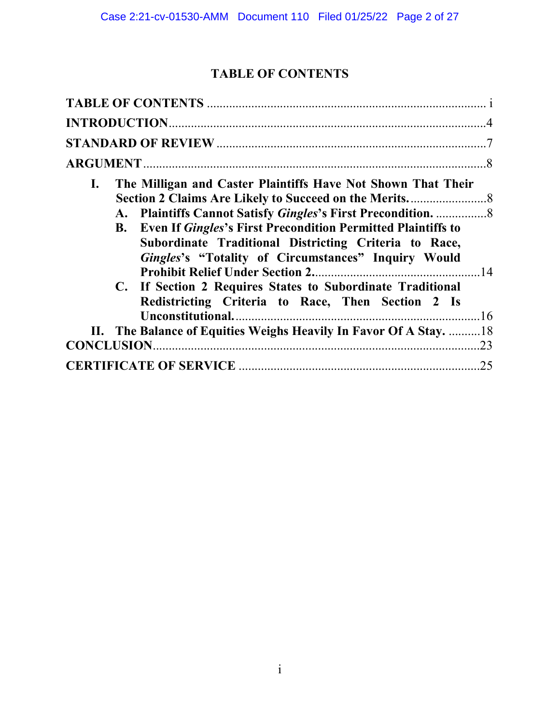# TABLE OF CONTENTS

| Ι. | The Milligan and Caster Plaintiffs Have Not Shown That Their                                                                                                                                     |     |
|----|--------------------------------------------------------------------------------------------------------------------------------------------------------------------------------------------------|-----|
|    |                                                                                                                                                                                                  |     |
|    | <b>Even If Gingles's First Precondition Permitted Plaintiffs to</b><br><b>B.</b><br>Subordinate Traditional Districting Criteria to Race,<br>Gingles's "Totality of Circumstances" Inquiry Would |     |
|    | C. If Section 2 Requires States to Subordinate Traditional<br>Redistricting Criteria to Race, Then Section 2 Is                                                                                  |     |
|    | II. The Balance of Equities Weighs Heavily In Favor Of A Stay. 18                                                                                                                                |     |
|    |                                                                                                                                                                                                  | .23 |
|    |                                                                                                                                                                                                  | .25 |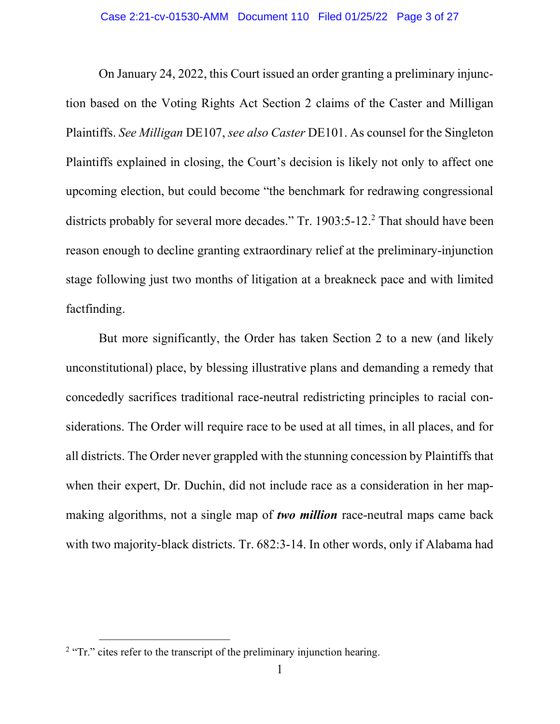On January 24, 2022, this Court issued an order granting a preliminary injunction based on the Voting Rights Act Section 2 claims of the Caster and Milligan Plaintiffs. See Milligan DE107, see also Caster DE101. As counsel for the Singleton Plaintiffs explained in closing, the Court's decision is likely not only to affect one upcoming election, but could become "the benchmark for redrawing congressional districts probably for several more decades." Tr. 1903:5-12.<sup>2</sup> That should have been reason enough to decline granting extraordinary relief at the preliminary-injunction stage following just two months of litigation at a breakneck pace and with limited factfinding.

But more significantly, the Order has taken Section 2 to a new (and likely unconstitutional) place, by blessing illustrative plans and demanding a remedy that concededly sacrifices traditional race-neutral redistricting principles to racial considerations. The Order will require race to be used at all times, in all places, and for all districts. The Order never grappled with the stunning concession by Plaintiffs that when their expert, Dr. Duchin, did not include race as a consideration in her mapmaking algorithms, not a single map of *two million* race-neutral maps came back with two majority-black districts. Tr. 682:3-14. In other words, only if Alabama had

 $2$  "Tr." cites refer to the transcript of the preliminary injunction hearing.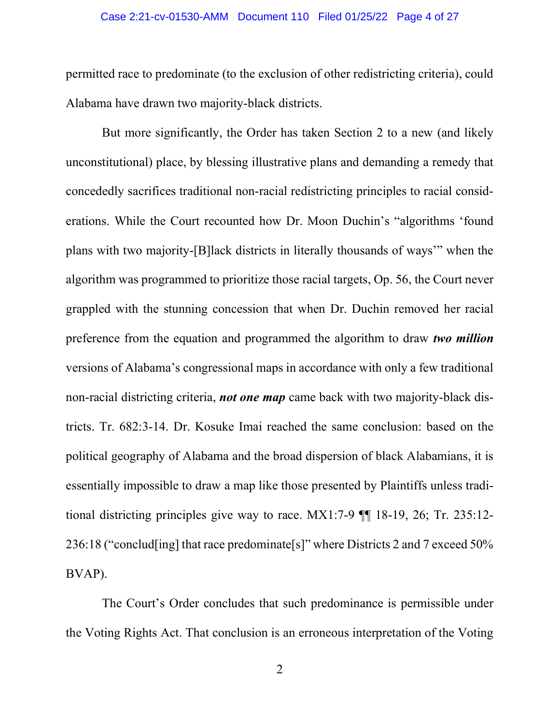#### Case 2:21-cv-01530-AMM Document 110 Filed 01/25/22 Page 4 of 27

permitted race to predominate (to the exclusion of other redistricting criteria), could Alabama have drawn two majority-black districts.

 But more significantly, the Order has taken Section 2 to a new (and likely unconstitutional) place, by blessing illustrative plans and demanding a remedy that concededly sacrifices traditional non-racial redistricting principles to racial considerations. While the Court recounted how Dr. Moon Duchin's "algorithms 'found plans with two majority-[B]lack districts in literally thousands of ways'" when the algorithm was programmed to prioritize those racial targets, Op. 56, the Court never grappled with the stunning concession that when Dr. Duchin removed her racial preference from the equation and programmed the algorithm to draw *two million* versions of Alabama's congressional maps in accordance with only a few traditional non-racial districting criteria, **not one map** came back with two majority-black districts. Tr. 682:3-14. Dr. Kosuke Imai reached the same conclusion: based on the political geography of Alabama and the broad dispersion of black Alabamians, it is essentially impossible to draw a map like those presented by Plaintiffs unless traditional districting principles give way to race. MX1:7-9 ¶¶ 18-19, 26; Tr. 235:12- 236:18 ("conclud[ing] that race predominate[s]" where Districts 2 and 7 exceed 50% BVAP).

 The Court's Order concludes that such predominance is permissible under the Voting Rights Act. That conclusion is an erroneous interpretation of the Voting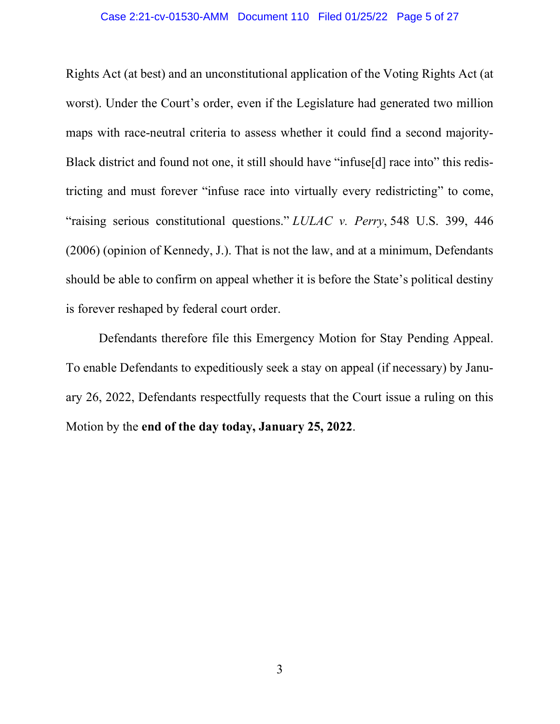#### Case 2:21-cv-01530-AMM Document 110 Filed 01/25/22 Page 5 of 27

Rights Act (at best) and an unconstitutional application of the Voting Rights Act (at worst). Under the Court's order, even if the Legislature had generated two million maps with race-neutral criteria to assess whether it could find a second majority-Black district and found not one, it still should have "infuse[d] race into" this redistricting and must forever "infuse race into virtually every redistricting" to come, "raising serious constitutional questions." LULAC v. Perry, 548 U.S. 399, 446 (2006) (opinion of Kennedy, J.). That is not the law, and at a minimum, Defendants should be able to confirm on appeal whether it is before the State's political destiny is forever reshaped by federal court order.

Defendants therefore file this Emergency Motion for Stay Pending Appeal. To enable Defendants to expeditiously seek a stay on appeal (if necessary) by January 26, 2022, Defendants respectfully requests that the Court issue a ruling on this Motion by the end of the day today, January 25, 2022.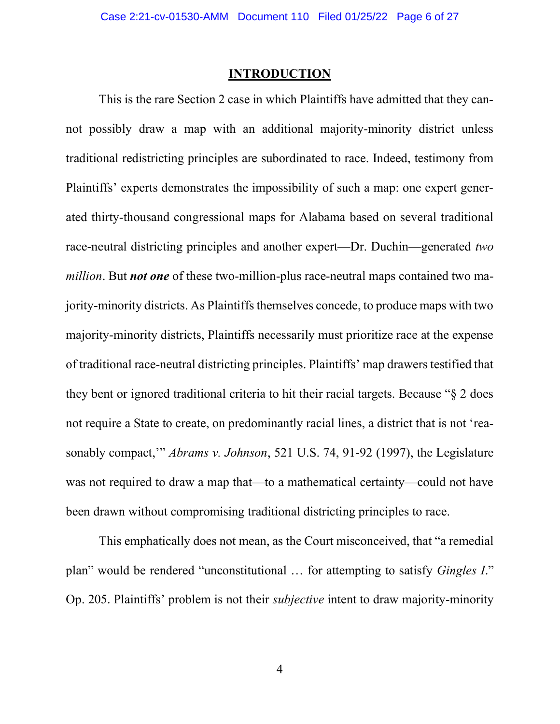### INTRODUCTION

This is the rare Section 2 case in which Plaintiffs have admitted that they cannot possibly draw a map with an additional majority-minority district unless traditional redistricting principles are subordinated to race. Indeed, testimony from Plaintiffs' experts demonstrates the impossibility of such a map: one expert generated thirty-thousand congressional maps for Alabama based on several traditional race-neutral districting principles and another expert—Dr. Duchin—generated two million. But not one of these two-million-plus race-neutral maps contained two majority-minority districts. As Plaintiffs themselves concede, to produce maps with two majority-minority districts, Plaintiffs necessarily must prioritize race at the expense of traditional race-neutral districting principles. Plaintiffs' map drawers testified that they bent or ignored traditional criteria to hit their racial targets. Because "§ 2 does not require a State to create, on predominantly racial lines, a district that is not 'reasonably compact," *Abrams v. Johnson*, 521 U.S. 74, 91-92 (1997), the Legislature was not required to draw a map that—to a mathematical certainty—could not have been drawn without compromising traditional districting principles to race.

This emphatically does not mean, as the Court misconceived, that "a remedial plan" would be rendered "unconstitutional … for attempting to satisfy Gingles I." Op. 205. Plaintiffs' problem is not their subjective intent to draw majority-minority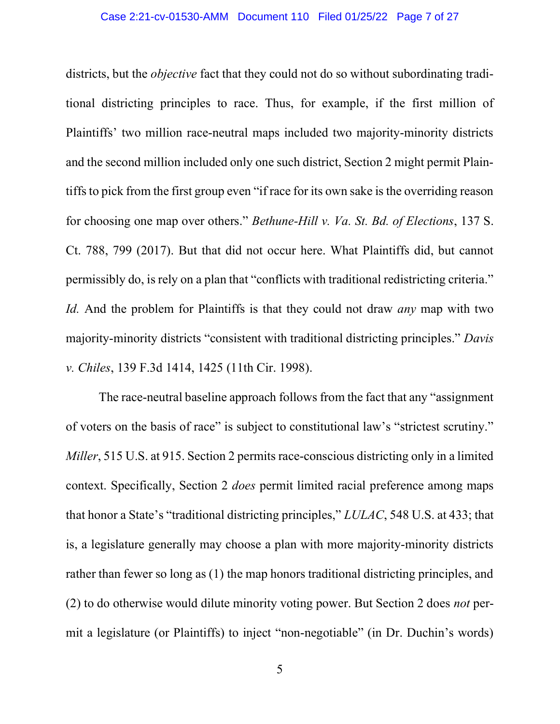#### Case 2:21-cv-01530-AMM Document 110 Filed 01/25/22 Page 7 of 27

districts, but the objective fact that they could not do so without subordinating traditional districting principles to race. Thus, for example, if the first million of Plaintiffs' two million race-neutral maps included two majority-minority districts and the second million included only one such district, Section 2 might permit Plaintiffs to pick from the first group even "if race for its own sake is the overriding reason for choosing one map over others." Bethune-Hill v. Va. St. Bd. of Elections, 137 S. Ct. 788, 799 (2017). But that did not occur here. What Plaintiffs did, but cannot permissibly do, is rely on a plan that "conflicts with traditional redistricting criteria." Id. And the problem for Plaintiffs is that they could not draw *any* map with two majority-minority districts "consistent with traditional districting principles." Davis v. Chiles, 139 F.3d 1414, 1425 (11th Cir. 1998).

The race-neutral baseline approach follows from the fact that any "assignment of voters on the basis of race" is subject to constitutional law's "strictest scrutiny." Miller, 515 U.S. at 915. Section 2 permits race-conscious districting only in a limited context. Specifically, Section 2 does permit limited racial preference among maps that honor a State's "traditional districting principles," LULAC, 548 U.S. at 433; that is, a legislature generally may choose a plan with more majority-minority districts rather than fewer so long as (1) the map honors traditional districting principles, and (2) to do otherwise would dilute minority voting power. But Section 2 does not permit a legislature (or Plaintiffs) to inject "non-negotiable" (in Dr. Duchin's words)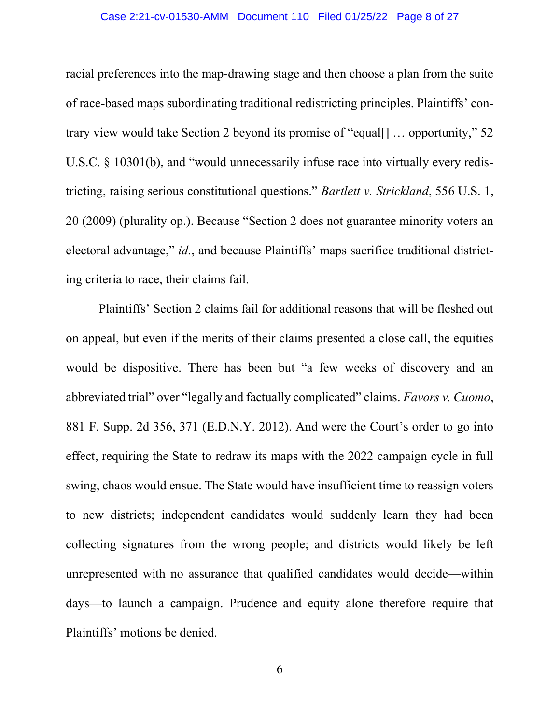#### Case 2:21-cv-01530-AMM Document 110 Filed 01/25/22 Page 8 of 27

racial preferences into the map-drawing stage and then choose a plan from the suite of race-based maps subordinating traditional redistricting principles. Plaintiffs' contrary view would take Section 2 beyond its promise of "equal[] … opportunity," 52 U.S.C. § 10301(b), and "would unnecessarily infuse race into virtually every redistricting, raising serious constitutional questions." Bartlett v. Strickland, 556 U.S. 1, 20 (2009) (plurality op.). Because "Section 2 does not guarantee minority voters an electoral advantage," id., and because Plaintiffs' maps sacrifice traditional districting criteria to race, their claims fail.

Plaintiffs' Section 2 claims fail for additional reasons that will be fleshed out on appeal, but even if the merits of their claims presented a close call, the equities would be dispositive. There has been but "a few weeks of discovery and an abbreviated trial" over "legally and factually complicated" claims. Favors v. Cuomo, 881 F. Supp. 2d 356, 371 (E.D.N.Y. 2012). And were the Court's order to go into effect, requiring the State to redraw its maps with the 2022 campaign cycle in full swing, chaos would ensue. The State would have insufficient time to reassign voters to new districts; independent candidates would suddenly learn they had been collecting signatures from the wrong people; and districts would likely be left unrepresented with no assurance that qualified candidates would decide—within days—to launch a campaign. Prudence and equity alone therefore require that Plaintiffs' motions be denied.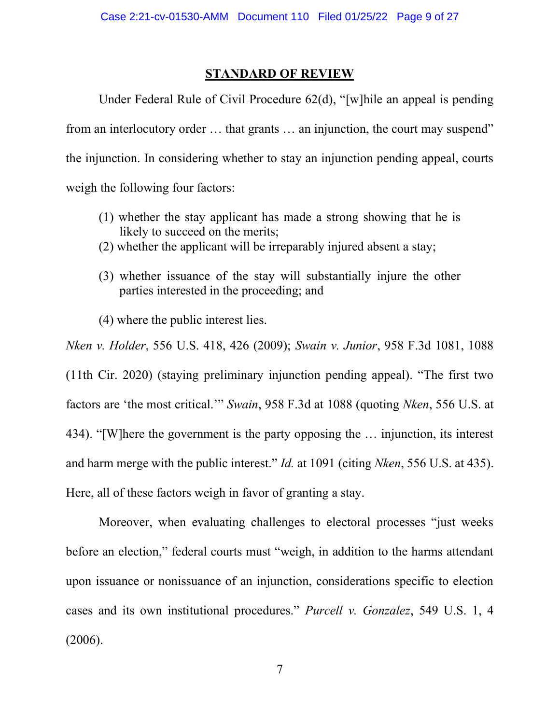## STANDARD OF REVIEW

Under Federal Rule of Civil Procedure 62(d), "[w]hile an appeal is pending from an interlocutory order ... that grants ... an injunction, the court may suspend" the injunction. In considering whether to stay an injunction pending appeal, courts weigh the following four factors:

- (1) whether the stay applicant has made a strong showing that he is likely to succeed on the merits;
- (2) whether the applicant will be irreparably injured absent a stay;
- (3) whether issuance of the stay will substantially injure the other parties interested in the proceeding; and

(4) where the public interest lies.

Nken v. Holder, 556 U.S. 418, 426 (2009); Swain v. Junior, 958 F.3d 1081, 1088 (11th Cir. 2020) (staying preliminary injunction pending appeal). "The first two factors are 'the most critical.'" Swain, 958 F.3d at 1088 (quoting Nken, 556 U.S. at 434). "[W]here the government is the party opposing the … injunction, its interest and harm merge with the public interest." Id. at 1091 (citing Nken, 556 U.S. at 435). Here, all of these factors weigh in favor of granting a stay.

Moreover, when evaluating challenges to electoral processes "just weeks before an election," federal courts must "weigh, in addition to the harms attendant upon issuance or nonissuance of an injunction, considerations specific to election cases and its own institutional procedures." Purcell v. Gonzalez, 549 U.S. 1, 4 (2006).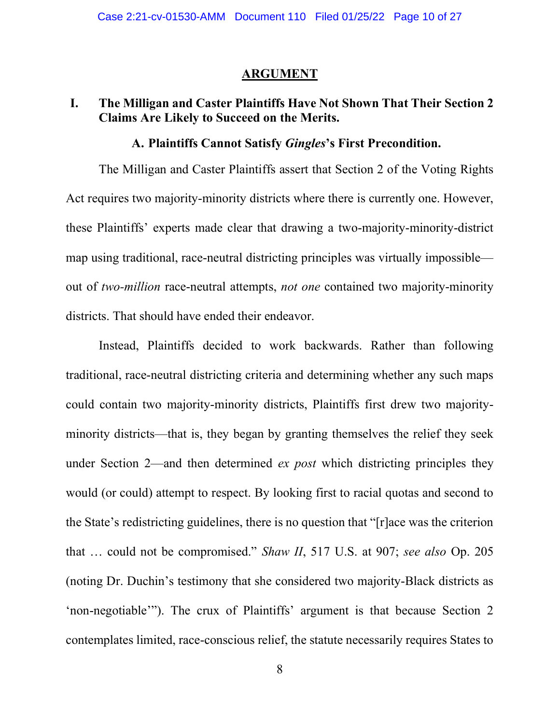#### **ARGUMENT**

# I. The Milligan and Caster Plaintiffs Have Not Shown That Their Section 2 Claims Are Likely to Succeed on the Merits.

#### A. Plaintiffs Cannot Satisfy Gingles's First Precondition.

The Milligan and Caster Plaintiffs assert that Section 2 of the Voting Rights Act requires two majority-minority districts where there is currently one. However, these Plaintiffs' experts made clear that drawing a two-majority-minority-district map using traditional, race-neutral districting principles was virtually impossible out of two-million race-neutral attempts, not one contained two majority-minority districts. That should have ended their endeavor.

Instead, Plaintiffs decided to work backwards. Rather than following traditional, race-neutral districting criteria and determining whether any such maps could contain two majority-minority districts, Plaintiffs first drew two majorityminority districts—that is, they began by granting themselves the relief they seek under Section 2—and then determined *ex post* which districting principles they would (or could) attempt to respect. By looking first to racial quotas and second to the State's redistricting guidelines, there is no question that "[r]ace was the criterion that … could not be compromised." Shaw II, 517 U.S. at 907; see also Op. 205 (noting Dr. Duchin's testimony that she considered two majority-Black districts as 'non-negotiable'"). The crux of Plaintiffs' argument is that because Section 2 contemplates limited, race-conscious relief, the statute necessarily requires States to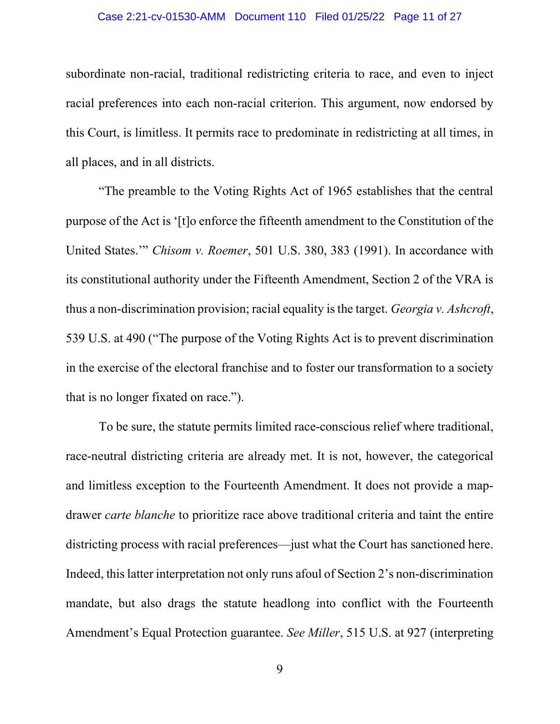#### Case 2:21-cv-01530-AMM Document 110 Filed 01/25/22 Page 11 of 27

subordinate non-racial, traditional redistricting criteria to race, and even to inject racial preferences into each non-racial criterion. This argument, now endorsed by this Court, is limitless. It permits race to predominate in redistricting at all times, in all places, and in all districts.

"The preamble to the Voting Rights Act of 1965 establishes that the central purpose of the Act is '[t]o enforce the fifteenth amendment to the Constitution of the United States.'" Chisom v. Roemer, 501 U.S. 380, 383 (1991). In accordance with its constitutional authority under the Fifteenth Amendment, Section 2 of the VRA is thus a non-discrimination provision; racial equality is the target. Georgia v. Ashcroft, 539 U.S. at 490 ("The purpose of the Voting Rights Act is to prevent discrimination in the exercise of the electoral franchise and to foster our transformation to a society that is no longer fixated on race.").

To be sure, the statute permits limited race-conscious relief where traditional, race-neutral districting criteria are already met. It is not, however, the categorical and limitless exception to the Fourteenth Amendment. It does not provide a mapdrawer carte blanche to prioritize race above traditional criteria and taint the entire districting process with racial preferences—just what the Court has sanctioned here. Indeed, this latter interpretation not only runs afoul of Section 2's non-discrimination mandate, but also drags the statute headlong into conflict with the Fourteenth Amendment's Equal Protection guarantee. See Miller, 515 U.S. at 927 (interpreting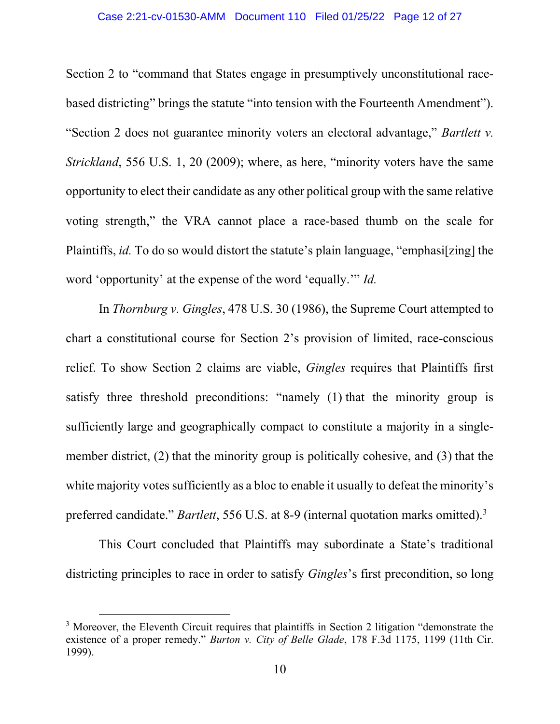#### Case 2:21-cv-01530-AMM Document 110 Filed 01/25/22 Page 12 of 27

Section 2 to "command that States engage in presumptively unconstitutional racebased districting" brings the statute "into tension with the Fourteenth Amendment"). "Section 2 does not guarantee minority voters an electoral advantage," Bartlett v. Strickland, 556 U.S. 1, 20 (2009); where, as here, "minority voters have the same opportunity to elect their candidate as any other political group with the same relative voting strength," the VRA cannot place a race-based thumb on the scale for Plaintiffs, *id*. To do so would distort the statute's plain language, "emphasi[zing] the word 'opportunity' at the expense of the word 'equally.'" Id.

In Thornburg v. Gingles, 478 U.S. 30 (1986), the Supreme Court attempted to chart a constitutional course for Section 2's provision of limited, race-conscious relief. To show Section 2 claims are viable, Gingles requires that Plaintiffs first satisfy three threshold preconditions: "namely (1) that the minority group is sufficiently large and geographically compact to constitute a majority in a singlemember district, (2) that the minority group is politically cohesive, and (3) that the white majority votes sufficiently as a bloc to enable it usually to defeat the minority's preferred candidate." Bartlett, 556 U.S. at 8-9 (internal quotation marks omitted).<sup>3</sup>

This Court concluded that Plaintiffs may subordinate a State's traditional districting principles to race in order to satisfy Gingles's first precondition, so long

<sup>&</sup>lt;sup>3</sup> Moreover, the Eleventh Circuit requires that plaintiffs in Section 2 litigation "demonstrate the existence of a proper remedy." Burton v. City of Belle Glade, 178 F.3d 1175, 1199 (11th Cir. 1999).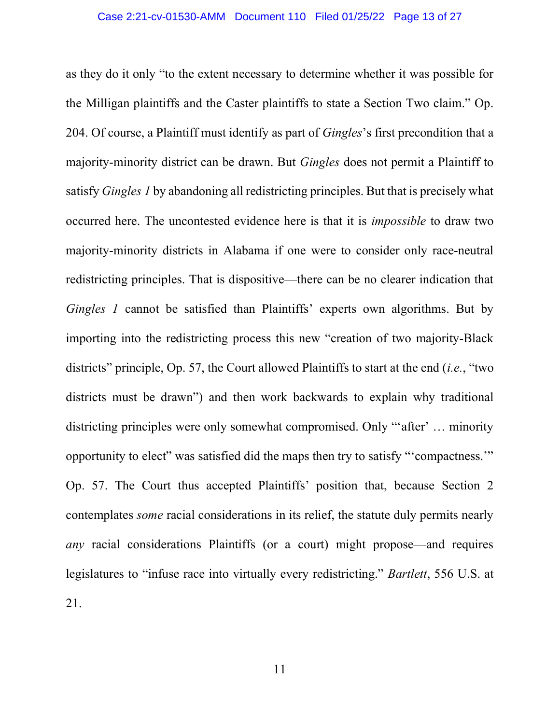as they do it only "to the extent necessary to determine whether it was possible for the Milligan plaintiffs and the Caster plaintiffs to state a Section Two claim." Op. 204. Of course, a Plaintiff must identify as part of Gingles's first precondition that a majority-minority district can be drawn. But Gingles does not permit a Plaintiff to satisfy Gingles 1 by abandoning all redistricting principles. But that is precisely what occurred here. The uncontested evidence here is that it is impossible to draw two majority-minority districts in Alabama if one were to consider only race-neutral redistricting principles. That is dispositive—there can be no clearer indication that Gingles 1 cannot be satisfied than Plaintiffs' experts own algorithms. But by importing into the redistricting process this new "creation of two majority-Black districts" principle, Op. 57, the Court allowed Plaintiffs to start at the end  $(i.e., "two"$ districts must be drawn") and then work backwards to explain why traditional districting principles were only somewhat compromised. Only "'after' … minority opportunity to elect" was satisfied did the maps then try to satisfy "'compactness.'" Op. 57. The Court thus accepted Plaintiffs' position that, because Section 2 contemplates some racial considerations in its relief, the statute duly permits nearly any racial considerations Plaintiffs (or a court) might propose—and requires legislatures to "infuse race into virtually every redistricting." *Bartlett*, 556 U.S. at 21.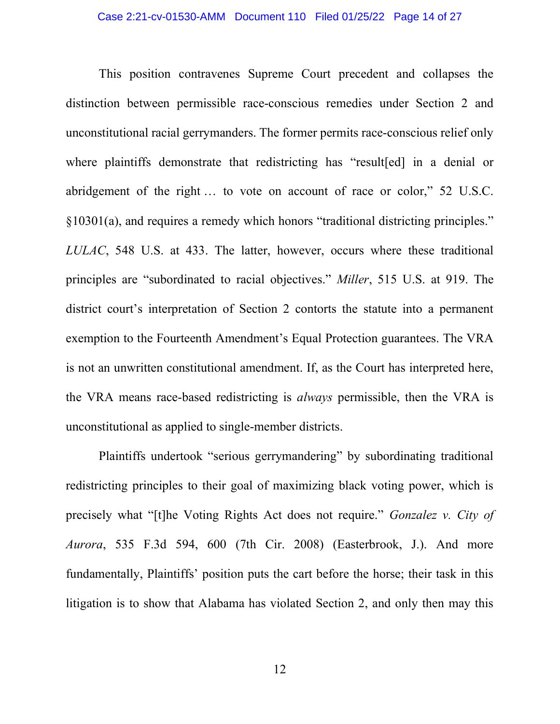This position contravenes Supreme Court precedent and collapses the distinction between permissible race-conscious remedies under Section 2 and unconstitutional racial gerrymanders. The former permits race-conscious relief only where plaintiffs demonstrate that redistricting has "result [ed] in a denial or abridgement of the right … to vote on account of race or color," 52 U.S.C. §10301(a), and requires a remedy which honors "traditional districting principles." LULAC, 548 U.S. at 433. The latter, however, occurs where these traditional principles are "subordinated to racial objectives." Miller, 515 U.S. at 919. The district court's interpretation of Section 2 contorts the statute into a permanent exemption to the Fourteenth Amendment's Equal Protection guarantees. The VRA is not an unwritten constitutional amendment. If, as the Court has interpreted here, the VRA means race-based redistricting is always permissible, then the VRA is unconstitutional as applied to single-member districts.

Plaintiffs undertook "serious gerrymandering" by subordinating traditional redistricting principles to their goal of maximizing black voting power, which is precisely what "[t]he Voting Rights Act does not require." Gonzalez v. City of Aurora, 535 F.3d 594, 600 (7th Cir. 2008) (Easterbrook, J.). And more fundamentally, Plaintiffs' position puts the cart before the horse; their task in this litigation is to show that Alabama has violated Section 2, and only then may this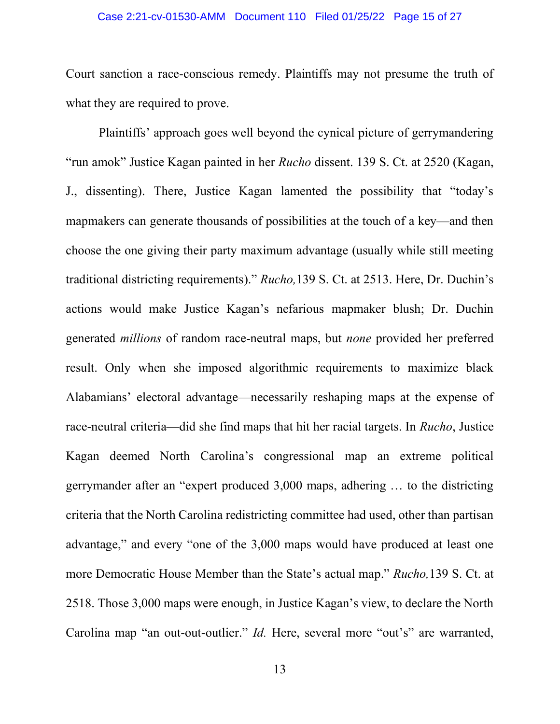#### Case 2:21-cv-01530-AMM Document 110 Filed 01/25/22 Page 15 of 27

Court sanction a race-conscious remedy. Plaintiffs may not presume the truth of what they are required to prove.

Plaintiffs' approach goes well beyond the cynical picture of gerrymandering "run amok" Justice Kagan painted in her Rucho dissent. 139 S. Ct. at 2520 (Kagan, J., dissenting). There, Justice Kagan lamented the possibility that "today's mapmakers can generate thousands of possibilities at the touch of a key—and then choose the one giving their party maximum advantage (usually while still meeting traditional districting requirements)." Rucho,139 S. Ct. at 2513. Here, Dr. Duchin's actions would make Justice Kagan's nefarious mapmaker blush; Dr. Duchin generated millions of random race-neutral maps, but none provided her preferred result. Only when she imposed algorithmic requirements to maximize black Alabamians' electoral advantage—necessarily reshaping maps at the expense of race-neutral criteria—did she find maps that hit her racial targets. In Rucho, Justice Kagan deemed North Carolina's congressional map an extreme political gerrymander after an "expert produced 3,000 maps, adhering … to the districting criteria that the North Carolina redistricting committee had used, other than partisan advantage," and every "one of the 3,000 maps would have produced at least one more Democratic House Member than the State's actual map." Rucho,139 S. Ct. at 2518. Those 3,000 maps were enough, in Justice Kagan's view, to declare the North Carolina map "an out-out-outlier." *Id.* Here, several more "out's" are warranted,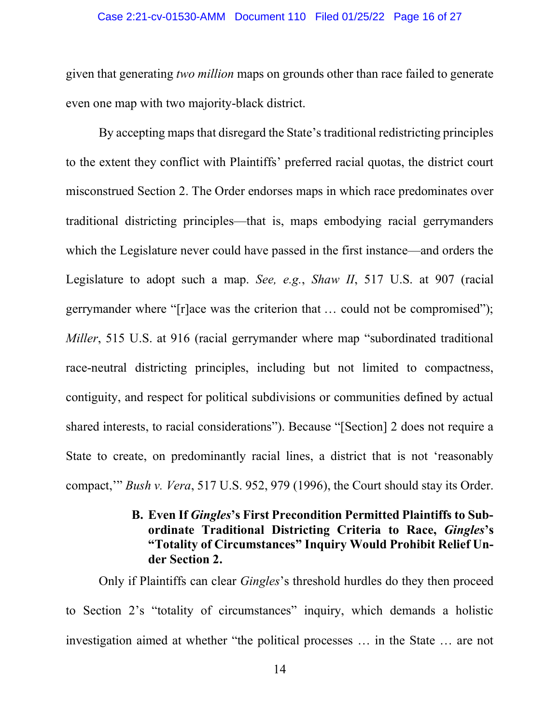#### Case 2:21-cv-01530-AMM Document 110 Filed 01/25/22 Page 16 of 27

given that generating two million maps on grounds other than race failed to generate even one map with two majority-black district.

By accepting maps that disregard the State's traditional redistricting principles to the extent they conflict with Plaintiffs' preferred racial quotas, the district court misconstrued Section 2. The Order endorses maps in which race predominates over traditional districting principles—that is, maps embodying racial gerrymanders which the Legislature never could have passed in the first instance—and orders the Legislature to adopt such a map. See, e.g., Shaw II, 517 U.S. at 907 (racial gerrymander where "[r]ace was the criterion that … could not be compromised"); Miller, 515 U.S. at 916 (racial gerrymander where map "subordinated traditional race-neutral districting principles, including but not limited to compactness, contiguity, and respect for political subdivisions or communities defined by actual shared interests, to racial considerations"). Because "[Section] 2 does not require a State to create, on predominantly racial lines, a district that is not 'reasonably compact,'" Bush v. Vera, 517 U.S. 952, 979 (1996), the Court should stay its Order.

# B. Even If Gingles's First Precondition Permitted Plaintiffs to Subordinate Traditional Districting Criteria to Race, Gingles's "Totality of Circumstances" Inquiry Would Prohibit Relief Under Section 2.

Only if Plaintiffs can clear Gingles's threshold hurdles do they then proceed to Section 2's "totality of circumstances" inquiry, which demands a holistic investigation aimed at whether "the political processes … in the State … are not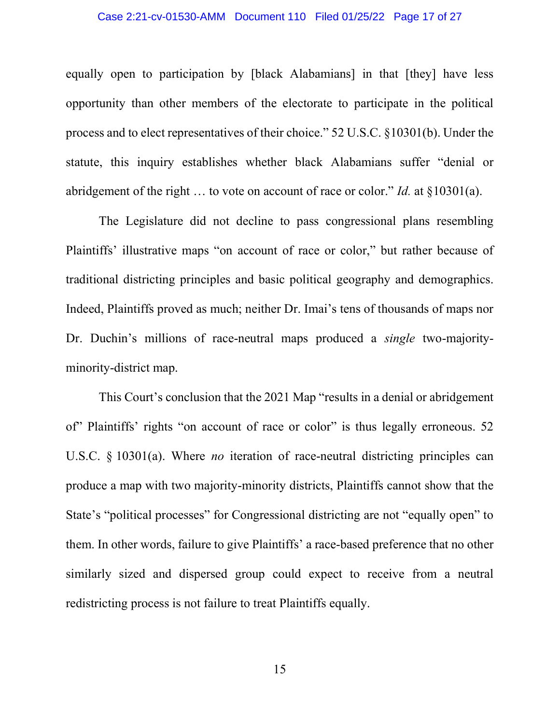#### Case 2:21-cv-01530-AMM Document 110 Filed 01/25/22 Page 17 of 27

equally open to participation by [black Alabamians] in that [they] have less opportunity than other members of the electorate to participate in the political process and to elect representatives of their choice." 52 U.S.C. §10301(b). Under the statute, this inquiry establishes whether black Alabamians suffer "denial or abridgement of the right ... to vote on account of race or color." *Id.* at  $\S 10301(a)$ .

The Legislature did not decline to pass congressional plans resembling Plaintiffs' illustrative maps "on account of race or color," but rather because of traditional districting principles and basic political geography and demographics. Indeed, Plaintiffs proved as much; neither Dr. Imai's tens of thousands of maps nor Dr. Duchin's millions of race-neutral maps produced a single two-majorityminority-district map.

This Court's conclusion that the 2021 Map "results in a denial or abridgement of" Plaintiffs' rights "on account of race or color" is thus legally erroneous. 52 U.S.C. § 10301(a). Where *no* iteration of race-neutral districting principles can produce a map with two majority-minority districts, Plaintiffs cannot show that the State's "political processes" for Congressional districting are not "equally open" to them. In other words, failure to give Plaintiffs' a race-based preference that no other similarly sized and dispersed group could expect to receive from a neutral redistricting process is not failure to treat Plaintiffs equally.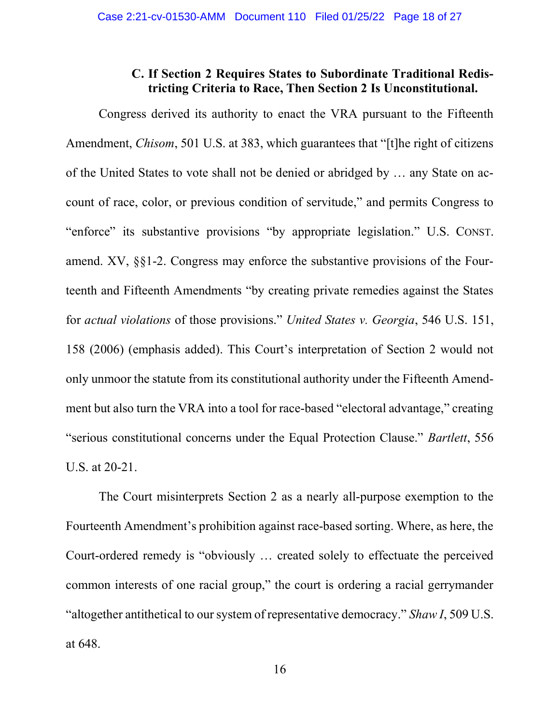## C. If Section 2 Requires States to Subordinate Traditional Redistricting Criteria to Race, Then Section 2 Is Unconstitutional.

Congress derived its authority to enact the VRA pursuant to the Fifteenth Amendment, Chisom, 501 U.S. at 383, which guarantees that "[t]he right of citizens of the United States to vote shall not be denied or abridged by … any State on account of race, color, or previous condition of servitude," and permits Congress to "enforce" its substantive provisions "by appropriate legislation." U.S. CONST. amend. XV, §§1-2. Congress may enforce the substantive provisions of the Fourteenth and Fifteenth Amendments "by creating private remedies against the States for actual violations of those provisions." United States v. Georgia, 546 U.S. 151, 158 (2006) (emphasis added). This Court's interpretation of Section 2 would not only unmoor the statute from its constitutional authority under the Fifteenth Amendment but also turn the VRA into a tool for race-based "electoral advantage," creating "serious constitutional concerns under the Equal Protection Clause." Bartlett, 556 U.S. at 20-21.

The Court misinterprets Section 2 as a nearly all-purpose exemption to the Fourteenth Amendment's prohibition against race-based sorting. Where, as here, the Court-ordered remedy is "obviously … created solely to effectuate the perceived common interests of one racial group," the court is ordering a racial gerrymander "altogether antithetical to our system of representative democracy." Shaw I, 509 U.S. at 648.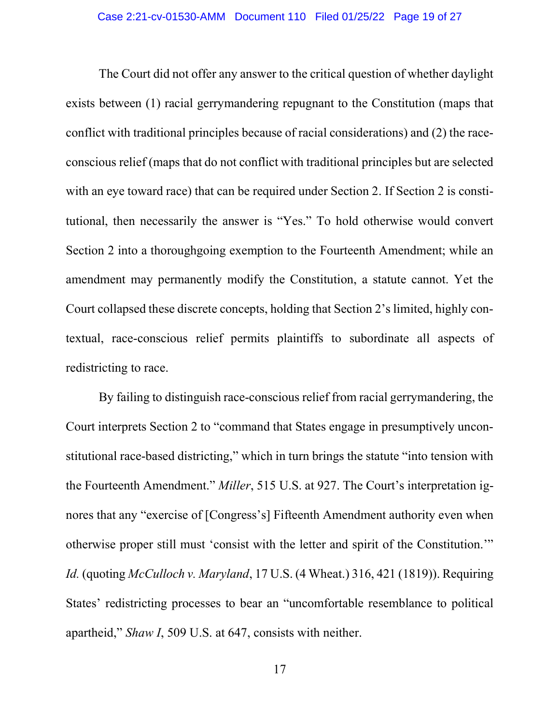The Court did not offer any answer to the critical question of whether daylight exists between (1) racial gerrymandering repugnant to the Constitution (maps that conflict with traditional principles because of racial considerations) and (2) the raceconscious relief (maps that do not conflict with traditional principles but are selected with an eye toward race) that can be required under Section 2. If Section 2 is constitutional, then necessarily the answer is "Yes." To hold otherwise would convert Section 2 into a thoroughgoing exemption to the Fourteenth Amendment; while an amendment may permanently modify the Constitution, a statute cannot. Yet the Court collapsed these discrete concepts, holding that Section 2's limited, highly contextual, race-conscious relief permits plaintiffs to subordinate all aspects of redistricting to race.

By failing to distinguish race-conscious relief from racial gerrymandering, the Court interprets Section 2 to "command that States engage in presumptively unconstitutional race-based districting," which in turn brings the statute "into tension with the Fourteenth Amendment." Miller, 515 U.S. at 927. The Court's interpretation ignores that any "exercise of [Congress's] Fifteenth Amendment authority even when otherwise proper still must 'consist with the letter and spirit of the Constitution.'" Id. (quoting McCulloch v. Maryland, 17 U.S. (4 Wheat.) 316, 421 (1819)). Requiring States' redistricting processes to bear an "uncomfortable resemblance to political apartheid," Shaw I, 509 U.S. at 647, consists with neither.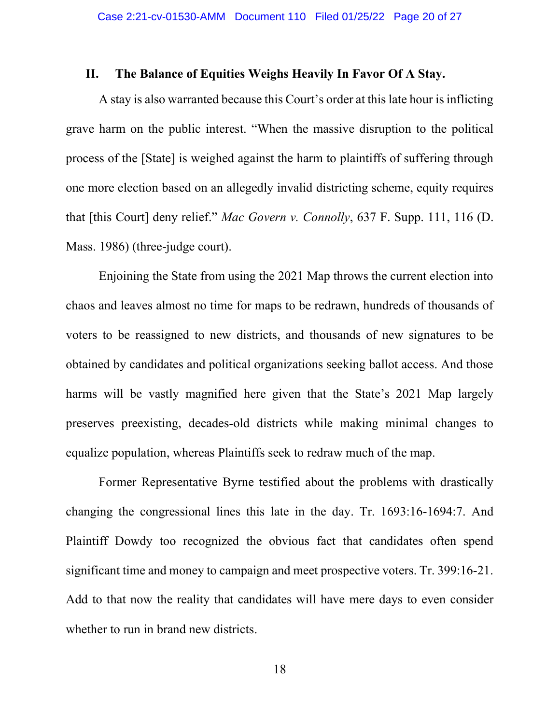### II. The Balance of Equities Weighs Heavily In Favor Of A Stay.

A stay is also warranted because this Court's order at this late hour is inflicting grave harm on the public interest. "When the massive disruption to the political process of the [State] is weighed against the harm to plaintiffs of suffering through one more election based on an allegedly invalid districting scheme, equity requires that [this Court] deny relief." Mac Govern v. Connolly, 637 F. Supp. 111, 116 (D. Mass. 1986) (three-judge court).

Enjoining the State from using the 2021 Map throws the current election into chaos and leaves almost no time for maps to be redrawn, hundreds of thousands of voters to be reassigned to new districts, and thousands of new signatures to be obtained by candidates and political organizations seeking ballot access. And those harms will be vastly magnified here given that the State's 2021 Map largely preserves preexisting, decades-old districts while making minimal changes to equalize population, whereas Plaintiffs seek to redraw much of the map.

Former Representative Byrne testified about the problems with drastically changing the congressional lines this late in the day. Tr. 1693:16-1694:7. And Plaintiff Dowdy too recognized the obvious fact that candidates often spend significant time and money to campaign and meet prospective voters. Tr. 399:16-21. Add to that now the reality that candidates will have mere days to even consider whether to run in brand new districts.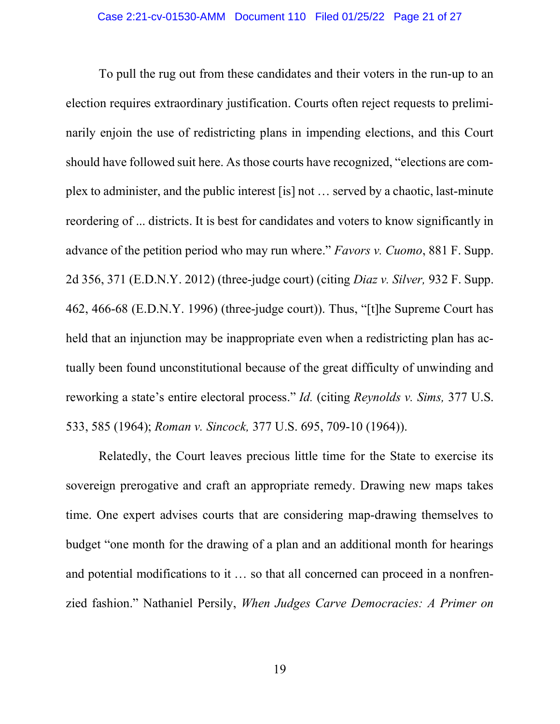To pull the rug out from these candidates and their voters in the run-up to an election requires extraordinary justification. Courts often reject requests to preliminarily enjoin the use of redistricting plans in impending elections, and this Court should have followed suit here. As those courts have recognized, "elections are complex to administer, and the public interest [is] not … served by a chaotic, last-minute reordering of ... districts. It is best for candidates and voters to know significantly in advance of the petition period who may run where." Favors v. Cuomo, 881 F. Supp. 2d 356, 371 (E.D.N.Y. 2012) (three-judge court) (citing Diaz v. Silver, 932 F. Supp. 462, 466-68 (E.D.N.Y. 1996) (three-judge court)). Thus, "[t]he Supreme Court has held that an injunction may be inappropriate even when a redistricting plan has actually been found unconstitutional because of the great difficulty of unwinding and reworking a state's entire electoral process." Id. (citing Reynolds v. Sims, 377 U.S. 533, 585 (1964); Roman v. Sincock, 377 U.S. 695, 709-10 (1964)).

Relatedly, the Court leaves precious little time for the State to exercise its sovereign prerogative and craft an appropriate remedy. Drawing new maps takes time. One expert advises courts that are considering map-drawing themselves to budget "one month for the drawing of a plan and an additional month for hearings and potential modifications to it … so that all concerned can proceed in a nonfrenzied fashion." Nathaniel Persily, When Judges Carve Democracies: A Primer on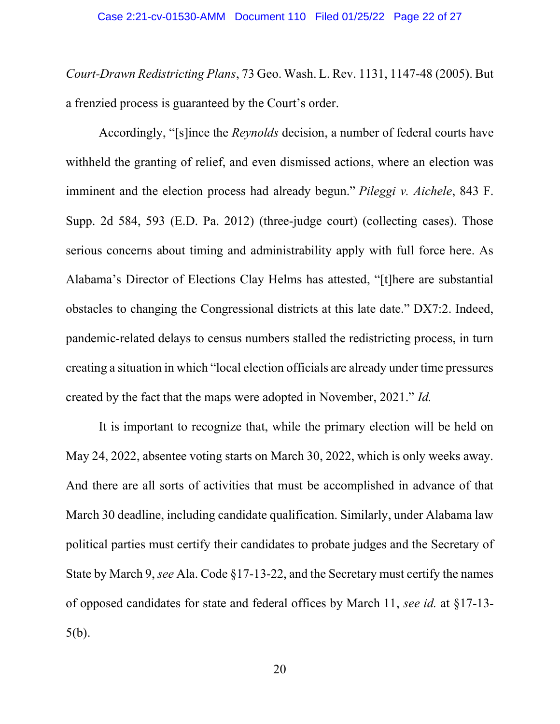Court-Drawn Redistricting Plans, 73 Geo. Wash. L. Rev. 1131, 1147-48 (2005). But a frenzied process is guaranteed by the Court's order.

Accordingly, "[s]ince the Reynolds decision, a number of federal courts have withheld the granting of relief, and even dismissed actions, where an election was imminent and the election process had already begun." Pileggi v. Aichele, 843 F. Supp. 2d 584, 593 (E.D. Pa. 2012) (three-judge court) (collecting cases). Those serious concerns about timing and administrability apply with full force here. As Alabama's Director of Elections Clay Helms has attested, "[t]here are substantial obstacles to changing the Congressional districts at this late date." DX7:2. Indeed, pandemic-related delays to census numbers stalled the redistricting process, in turn creating a situation in which "local election officials are already under time pressures created by the fact that the maps were adopted in November, 2021." Id.

It is important to recognize that, while the primary election will be held on May 24, 2022, absentee voting starts on March 30, 2022, which is only weeks away. And there are all sorts of activities that must be accomplished in advance of that March 30 deadline, including candidate qualification. Similarly, under Alabama law political parties must certify their candidates to probate judges and the Secretary of State by March 9, see Ala. Code §17-13-22, and the Secretary must certify the names of opposed candidates for state and federal offices by March 11, see id. at §17-13- 5(b).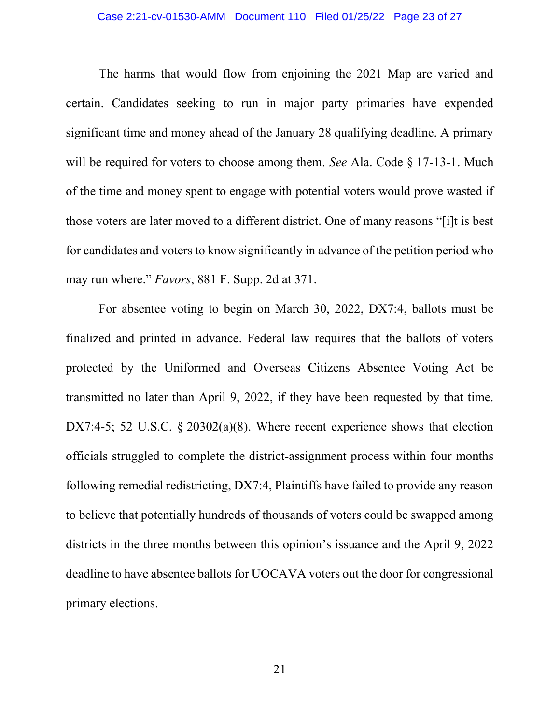#### Case 2:21-cv-01530-AMM Document 110 Filed 01/25/22 Page 23 of 27

The harms that would flow from enjoining the 2021 Map are varied and certain. Candidates seeking to run in major party primaries have expended significant time and money ahead of the January 28 qualifying deadline. A primary will be required for voters to choose among them. See Ala. Code § 17-13-1. Much of the time and money spent to engage with potential voters would prove wasted if those voters are later moved to a different district. One of many reasons "[i]t is best for candidates and voters to know significantly in advance of the petition period who may run where." Favors, 881 F. Supp. 2d at 371.

For absentee voting to begin on March 30, 2022, DX7:4, ballots must be finalized and printed in advance. Federal law requires that the ballots of voters protected by the Uniformed and Overseas Citizens Absentee Voting Act be transmitted no later than April 9, 2022, if they have been requested by that time. DX7:4-5; 52 U.S.C. § 20302(a)(8). Where recent experience shows that election officials struggled to complete the district-assignment process within four months following remedial redistricting, DX7:4, Plaintiffs have failed to provide any reason to believe that potentially hundreds of thousands of voters could be swapped among districts in the three months between this opinion's issuance and the April 9, 2022 deadline to have absentee ballots for UOCAVA voters out the door for congressional primary elections.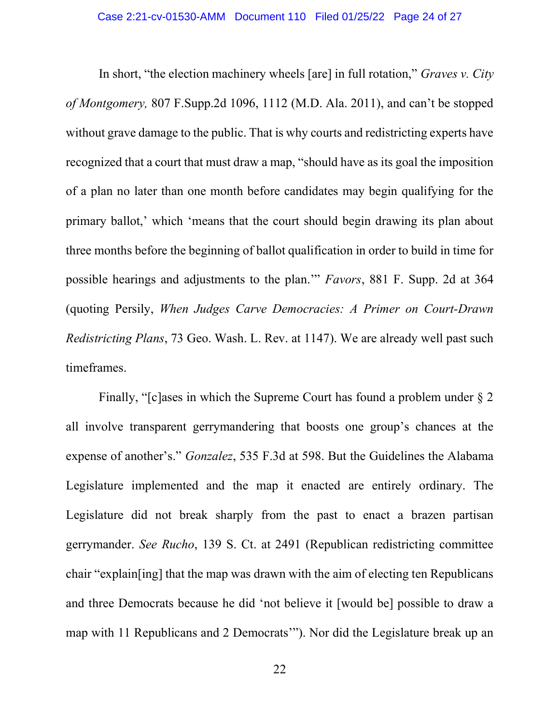In short, "the election machinery wheels [are] in full rotation," *Graves v. City* of Montgomery, 807 F.Supp.2d 1096, 1112 (M.D. Ala. 2011), and can't be stopped without grave damage to the public. That is why courts and redistricting experts have recognized that a court that must draw a map, "should have as its goal the imposition of a plan no later than one month before candidates may begin qualifying for the primary ballot,' which 'means that the court should begin drawing its plan about three months before the beginning of ballot qualification in order to build in time for possible hearings and adjustments to the plan.'" Favors, 881 F. Supp. 2d at 364 (quoting Persily, When Judges Carve Democracies: A Primer on Court-Drawn Redistricting Plans, 73 Geo. Wash. L. Rev. at 1147). We are already well past such timeframes.

Finally, "[c]ases in which the Supreme Court has found a problem under § 2 all involve transparent gerrymandering that boosts one group's chances at the expense of another's." Gonzalez, 535 F.3d at 598. But the Guidelines the Alabama Legislature implemented and the map it enacted are entirely ordinary. The Legislature did not break sharply from the past to enact a brazen partisan gerrymander. See Rucho, 139 S. Ct. at 2491 (Republican redistricting committee chair "explain[ing] that the map was drawn with the aim of electing ten Republicans and three Democrats because he did 'not believe it [would be] possible to draw a map with 11 Republicans and 2 Democrats'"). Nor did the Legislature break up an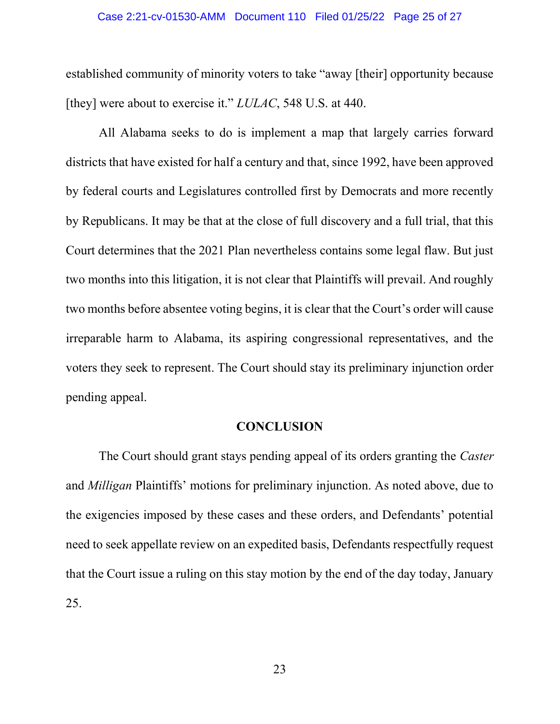#### Case 2:21-cv-01530-AMM Document 110 Filed 01/25/22 Page 25 of 27

established community of minority voters to take "away [their] opportunity because [they] were about to exercise it." *LULAC*, 548 U.S. at 440.

All Alabama seeks to do is implement a map that largely carries forward districts that have existed for half a century and that, since 1992, have been approved by federal courts and Legislatures controlled first by Democrats and more recently by Republicans. It may be that at the close of full discovery and a full trial, that this Court determines that the 2021 Plan nevertheless contains some legal flaw. But just two months into this litigation, it is not clear that Plaintiffs will prevail. And roughly two months before absentee voting begins, it is clear that the Court's order will cause irreparable harm to Alabama, its aspiring congressional representatives, and the voters they seek to represent. The Court should stay its preliminary injunction order pending appeal.

### **CONCLUSION**

The Court should grant stays pending appeal of its orders granting the *Caster* and Milligan Plaintiffs' motions for preliminary injunction. As noted above, due to the exigencies imposed by these cases and these orders, and Defendants' potential need to seek appellate review on an expedited basis, Defendants respectfully request that the Court issue a ruling on this stay motion by the end of the day today, January 25.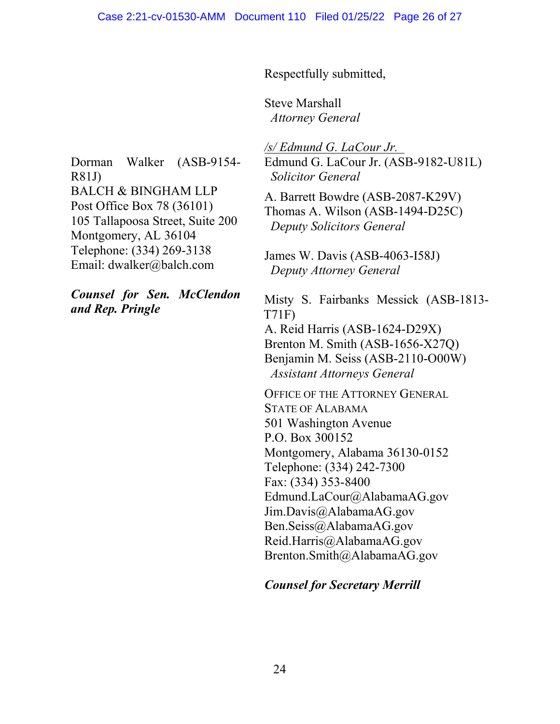Respectfully submitted,

Steve Marshall Attorney General

Dorman Walker (ASB-9154- R81J) BALCH & BINGHAM LLP Post Office Box 78 (36101) 105 Tallapoosa Street, Suite 200 Montgomery, AL 36104 Telephone: (334) 269-3138 Email: dwalker@balch.com

Counsel for Sen. McClendon and Rep. Pringle

/s/ Edmund G. LaCour Jr. Edmund G. LaCour Jr. (ASB-9182-U81L) Solicitor General

A. Barrett Bowdre (ASB-2087-K29V) Thomas A. Wilson (ASB-1494-D25C) Deputy Solicitors General

James W. Davis (ASB-4063-I58J) Deputy Attorney General

Misty S. Fairbanks Messick (ASB-1813- T71F) A. Reid Harris (ASB-1624-D29X) Brenton M. Smith (ASB-1656-X27Q) Benjamin M. Seiss (ASB-2110-O00W) Assistant Attorneys General

OFFICE OF THE ATTORNEY GENERAL STATE OF ALABAMA 501 Washington Avenue P.O. Box 300152 Montgomery, Alabama 36130-0152 Telephone: (334) 242-7300 Fax: (334) 353-8400 Edmund.LaCour@AlabamaAG.gov Jim.Davis@AlabamaAG.gov Ben.Seiss@AlabamaAG.gov Reid.Harris@AlabamaAG.gov Brenton.Smith@AlabamaAG.gov

Counsel for Secretary Merrill